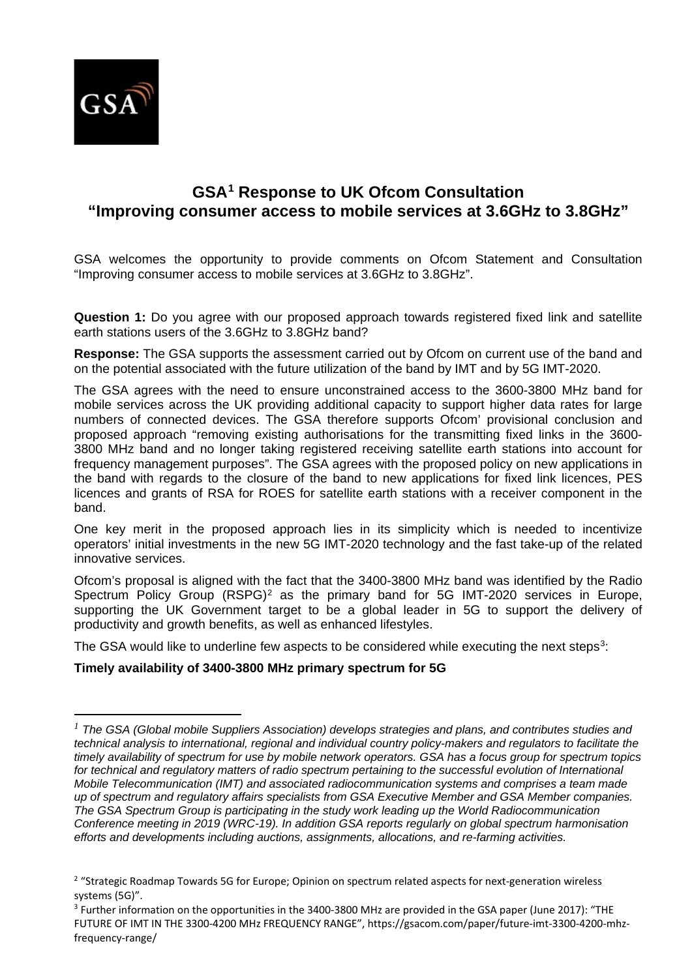

 $\overline{a}$ 

# **GSA[1](#page-0-0) Response to UK Ofcom Consultation "Improving consumer access to mobile services at 3.6GHz to 3.8GHz"**

GSA welcomes the opportunity to provide comments on Ofcom Statement and Consultation "Improving consumer access to mobile services at 3.6GHz to 3.8GHz".

**Question 1:** Do you agree with our proposed approach towards registered fixed link and satellite earth stations users of the 3.6GHz to 3.8GHz band?

**Response:** The GSA supports the assessment carried out by Ofcom on current use of the band and on the potential associated with the future utilization of the band by IMT and by 5G IMT-2020.

The GSA agrees with the need to ensure unconstrained access to the 3600-3800 MHz band for mobile services across the UK providing additional capacity to support higher data rates for large numbers of connected devices. The GSA therefore supports Ofcom' provisional conclusion and proposed approach "removing existing authorisations for the transmitting fixed links in the 3600- 3800 MHz band and no longer taking registered receiving satellite earth stations into account for frequency management purposes". The GSA agrees with the proposed policy on new applications in the band with regards to the closure of the band to new applications for fixed link licences, PES licences and grants of RSA for ROES for satellite earth stations with a receiver component in the band.

One key merit in the proposed approach lies in its simplicity which is needed to incentivize operators' initial investments in the new 5G IMT-2020 technology and the fast take-up of the related innovative services.

Ofcom's proposal is aligned with the fact that the 3400-3800 MHz band was identified by the Radio Spectrum Policy Group (RSPG)<sup>[2](#page-0-1)</sup> as the primary band for 5G IMT-2020 services in Europe, supporting the UK Government target to be a global leader in 5G to support the delivery of productivity and growth benefits, as well as enhanced lifestyles.

The GSA would like to underline few aspects to be considered while executing the next steps<sup>3</sup>:

# **Timely availability of 3400-3800 MHz primary spectrum for 5G**

<span id="page-0-0"></span>*<sup>1</sup> The GSA (Global mobile Suppliers Association) develops strategies and plans, and contributes studies and technical analysis to international, regional and individual country policy-makers and regulators to facilitate the timely availability of spectrum for use by mobile network operators. GSA has a focus group for spectrum topics*  for technical and regulatory matters of radio spectrum pertaining to the successful evolution of International *Mobile Telecommunication (IMT) and associated radiocommunication systems and comprises a team made up of spectrum and regulatory affairs specialists from GSA Executive Member and GSA Member companies. The GSA Spectrum Group is participating in the study work leading up the World Radiocommunication Conference meeting in 2019 (WRC-19). In addition GSA reports regularly on global spectrum harmonisation efforts and developments including auctions, assignments, allocations, and re-farming activities.*

<span id="page-0-1"></span><sup>&</sup>lt;sup>2</sup> "Strategic Roadmap Towards 5G for Europe; Opinion on spectrum related aspects for next-generation wireless systems (5G)".

<span id="page-0-2"></span><sup>3</sup> Further information on the opportunities in the 3400-3800 MHz are provided in the GSA paper (June 2017): "THE FUTURE OF IMT IN THE 3300-4200 MHz FREQUENCY RANGE", https://gsacom.com/paper/future-imt-3300-4200-mhzfrequency-range/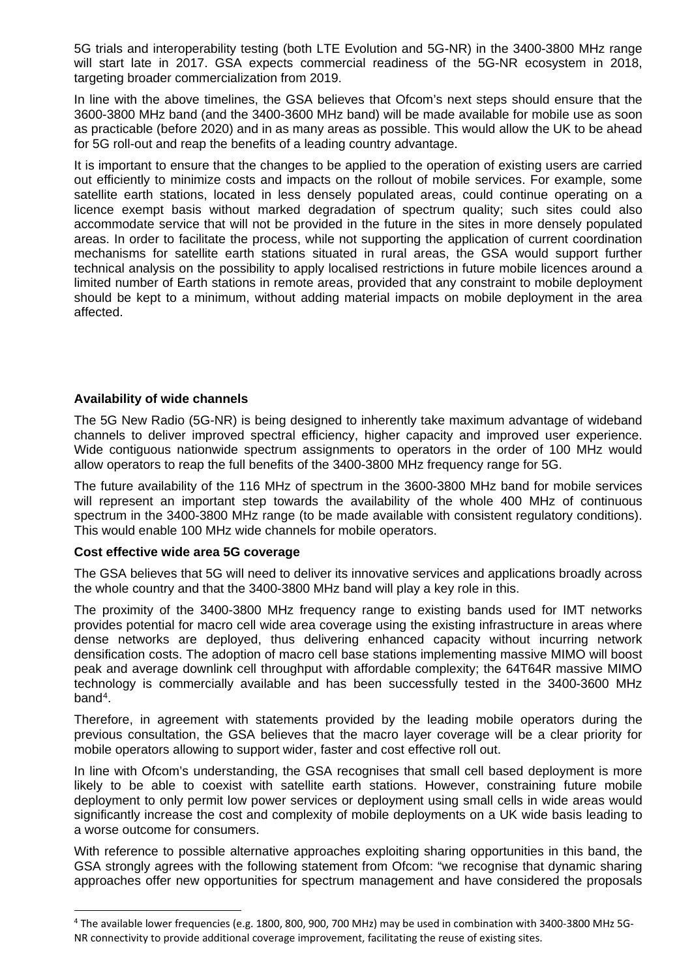5G trials and interoperability testing (both LTE Evolution and 5G-NR) in the 3400-3800 MHz range will start late in 2017. GSA expects commercial readiness of the 5G-NR ecosystem in 2018, targeting broader commercialization from 2019.

In line with the above timelines, the GSA believes that Ofcom's next steps should ensure that the 3600-3800 MHz band (and the 3400-3600 MHz band) will be made available for mobile use as soon as practicable (before 2020) and in as many areas as possible. This would allow the UK to be ahead for 5G roll-out and reap the benefits of a leading country advantage.

It is important to ensure that the changes to be applied to the operation of existing users are carried out efficiently to minimize costs and impacts on the rollout of mobile services. For example, some satellite earth stations, located in less densely populated areas, could continue operating on a licence exempt basis without marked degradation of spectrum quality; such sites could also accommodate service that will not be provided in the future in the sites in more densely populated areas. In order to facilitate the process, while not supporting the application of current coordination mechanisms for satellite earth stations situated in rural areas, the GSA would support further technical analysis on the possibility to apply localised restrictions in future mobile licences around a limited number of Earth stations in remote areas, provided that any constraint to mobile deployment should be kept to a minimum, without adding material impacts on mobile deployment in the area affected.

## **Availability of wide channels**

The 5G New Radio (5G-NR) is being designed to inherently take maximum advantage of wideband channels to deliver improved spectral efficiency, higher capacity and improved user experience. Wide contiguous nationwide spectrum assignments to operators in the order of 100 MHz would allow operators to reap the full benefits of the 3400-3800 MHz frequency range for 5G.

The future availability of the 116 MHz of spectrum in the 3600-3800 MHz band for mobile services will represent an important step towards the availability of the whole 400 MHz of continuous spectrum in the 3400-3800 MHz range (to be made available with consistent regulatory conditions). This would enable 100 MHz wide channels for mobile operators.

### **Cost effective wide area 5G coverage**

The GSA believes that 5G will need to deliver its innovative services and applications broadly across the whole country and that the 3400-3800 MHz band will play a key role in this.

The proximity of the 3400-3800 MHz frequency range to existing bands used for IMT networks provides potential for macro cell wide area coverage using the existing infrastructure in areas where dense networks are deployed, thus delivering enhanced capacity without incurring network densification costs. The adoption of macro cell base stations implementing massive MIMO will boost peak and average downlink cell throughput with affordable complexity; the 64T64R massive MIMO technology is commercially available and has been successfully tested in the 3400-3600 MHz band[4.](#page-1-0)

Therefore, in agreement with statements provided by the leading mobile operators during the previous consultation, the GSA believes that the macro layer coverage will be a clear priority for mobile operators allowing to support wider, faster and cost effective roll out.

In line with Ofcom's understanding, the GSA recognises that small cell based deployment is more likely to be able to coexist with satellite earth stations. However, constraining future mobile deployment to only permit low power services or deployment using small cells in wide areas would significantly increase the cost and complexity of mobile deployments on a UK wide basis leading to a worse outcome for consumers.

With reference to possible alternative approaches exploiting sharing opportunities in this band, the GSA strongly agrees with the following statement from Ofcom: "we recognise that dynamic sharing approaches offer new opportunities for spectrum management and have considered the proposals

<span id="page-1-0"></span> <sup>4</sup> The available lower frequencies (e.g. 1800, 800, 900, 700 MHz) may be used in combination with 3400-3800 MHz 5G-NR connectivity to provide additional coverage improvement, facilitating the reuse of existing sites.